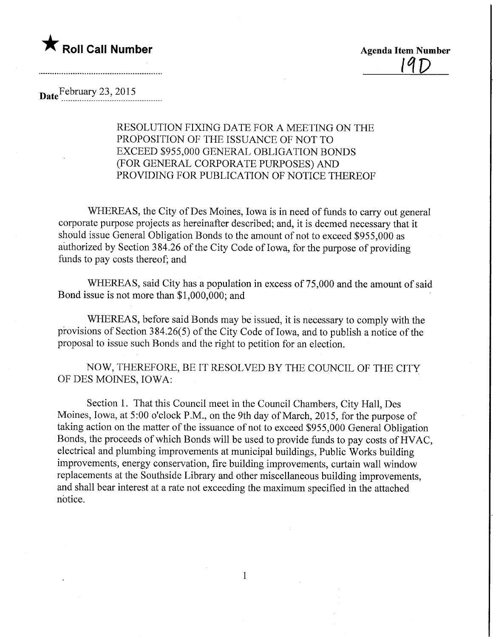

<u>19D</u>

Date February 23, 2015

RESOLUTION FIXING DATE FOR A MEETING ON THE PROPOSITION OF THE ISSUANCE OF NOT TO EXCEED \$955,000 GENERAL OBLIGATION BONDS (FOR GENERAL CORPORATE PURPOSES) AND PROVIDING FOR PUBLICATION OF NOTICE THEREOF

WHEREAS, the City of Des Moines, Iowa is in need of funds to carry out general corporate purpose projects as hereinafter described; and, it is deemed necessary that it should issue General Obligation Bonds to the amount of not to exceed \$955,000 as authorized by Section 384.26 of the City Code of Iowa, for the purpose of providing funds to pay costs thereof; and

WHEREAS, said City has a population in excess of 75,000 and the amount of said Bond issue is not more than \$1,000,000; and

WHEREAS, before said Bonds may be issued, it is necessary to comply with the provisions of Section 384.26(5) of the City Code of Iowa, and to publish a notice of the proposal to issue such Bonds and the right to petition for an election.

NOW, THEREFORE, BE IT RESOLVED BY THE COUNCIL OF THE CITY OF DES MOINES, IOWA:

Section 1. That this Council meet in the Council Chambers, City Hall, Des Moines, Iowa, at 5:00 o'clock P.M., on the 9th day of March, 2015, for the purpose of taking action on the matter of the issuance of not to exceed \$955,000 General Obligation Bonds, the proceeds of which Bonds will be used to provide funds to pay costs of HVAC, electrical and plumbing improvements at municipal buildings. Public Works building improvements, energy conservation, fire building improvements, curtain wall window replacements at the Southside Library and other miscellaneous building improvements, and shall bear interest at a rate not exceeding the maximum specified in the attached notice.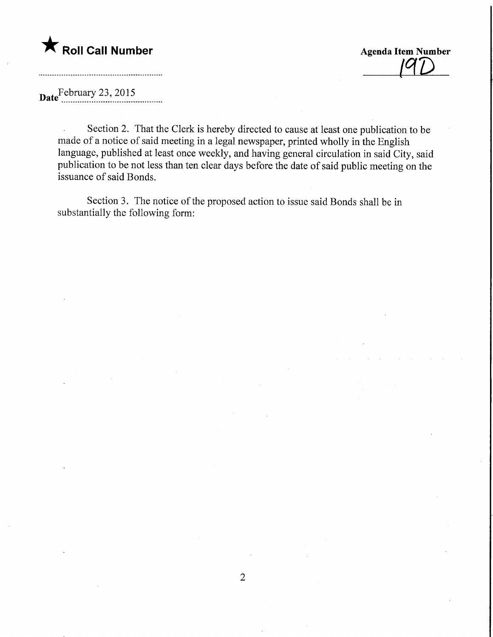

^D

## Date February 23, 2015

Section 2. That the Clerk is hereby directed to cause at least one publication to be  $\mathbb{Z}$ made of a notice of said meeting in a legal newspaper, printed wholly in the English language, published at least once weekly, and having general circulation in said City, said publication to be not less than ten clear days before the date of said public meeting on the issuance of said Bonds.

Section 3. The notice of the proposed action to issue said Bonds shall be in substantially the following form: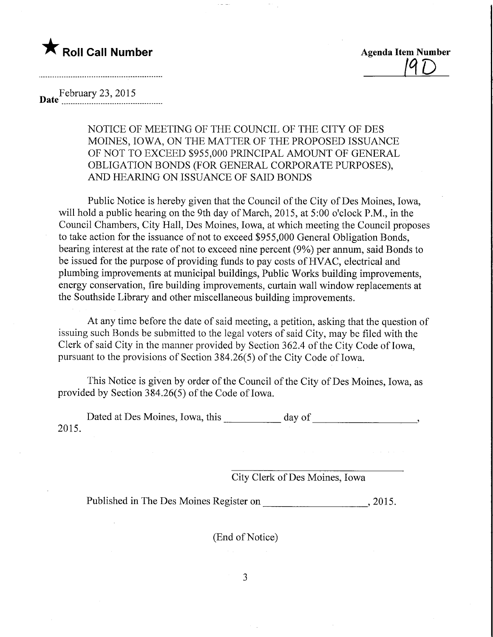## **The Roll Call Number Agents Container the Contract of Agents Agents Item Number**

 $19D$ 

## February 23, 2015 Date

NOTICE OF MEETING OF THE COUNCIL OF THE CITY OF DES MOINES, IOWA, ON THE MATTER OF THE PROPOSED ISSUANCE OF NOT TO EXCEED \$955,000 PRINCIPAL AMOUNT OF GENERAL OBLIGATION BONDS (FOR GENERAL CORPORATE PURPOSES), AND HEARING ON ISSUANCE OF SAID BONDS

Public Notice is hereby given that the Council of the City of Des Moines, Iowa, will hold a public hearing on the 9th day of March, 2015, at 5:00 o'clock P.M., in the Council Chambers, City Hall, Des Moines, Iowa, at which meeting the Council proposes to take action for the issuance of not to exceed \$955,000 General Obligation Bonds, bearing interest at the rate of not to exceed nine percent (9%) per annum, said Bonds to be issued for the purpose of providing funds to pay costs of HVAC, electrical and plumbing improvements at municipal buildings, Public Works building improvements, energy conservation, fire building improvements, curtain wall window replacements at the Southside Library and other miscellaneous building improvements.

At any time before the date of said meeting, a petition, asking that the question of issuing such Bonds be submitted to the legal voters of said City, may be filed with the Clerk of said City in the manner provided by Section 362.4 of the City Code of Iowa, pursuant to the provisions of Section 384.26(5) of the City Code of Iowa.

This Notice is given by order of the Council of the City of Des Moines, Iowa, as provided by Section 384.26(5) of the Code of Iowa.

Dated at Des Moines, Iowa, this \_\_\_\_\_\_\_\_\_\_ day of \_\_\_\_\_\_\_\_\_\_\_\_\_\_\_\_\_\_\_\_\_\_\_\_\_\_\_\_\_\_\_ 2015.

City Clerk of Des Moines, Iowa

Published in The Des Moines Register on  $\qquad \qquad$ , 2015.

(End of Notice)